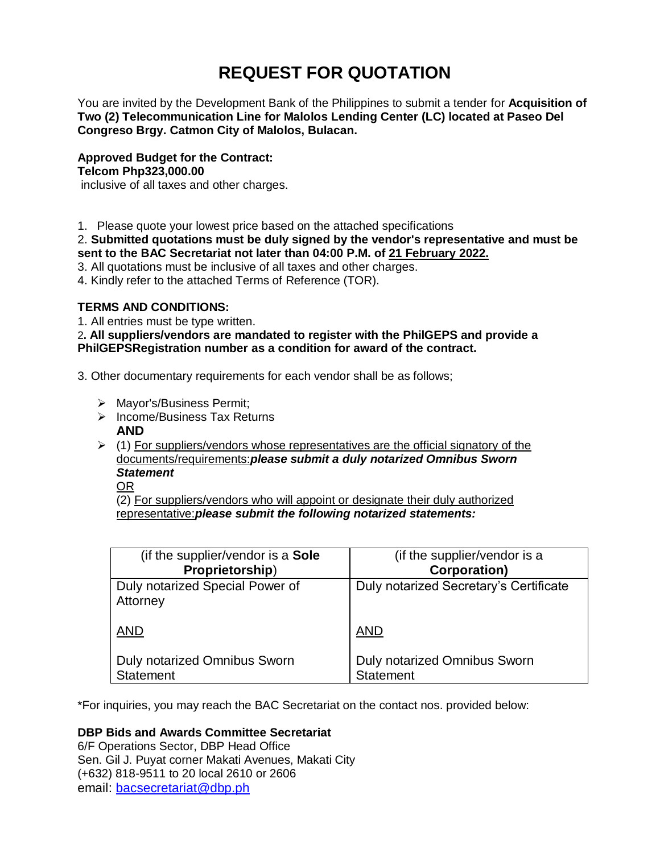# **REQUEST FOR QUOTATION**

You are invited by the Development Bank of the Philippines to submit a tender for **Acquisition of Two (2) Telecommunication Line for Malolos Lending Center (LC) located at Paseo Del Congreso Brgy. Catmon City of Malolos, Bulacan.**

**Approved Budget for the Contract: Telcom Php323,000.00** inclusive of all taxes and other charges.

1. Please quote your lowest price based on the attached specifications

2. **Submitted quotations must be duly signed by the vendor's representative and must be sent to the BAC Secretariat not later than 04:00 P.M. of 21 February 2022.**

- 3. All quotations must be inclusive of all taxes and other charges.
- 4. Kindly refer to the attached Terms of Reference (TOR).

# **TERMS AND CONDITIONS:**

1. All entries must be type written.

2**. All suppliers/vendors are mandated to register with the PhilGEPS and provide a PhilGEPSRegistration number as a condition for award of the contract.**

3. Other documentary requirements for each vendor shall be as follows;

- > Mayor's/Business Permit;
- $\triangleright$  Income/Business Tax Returns **AND**
- $\geq$  (1) For suppliers/vendors whose representatives are the official signatory of the documents/requirements:*please submit a duly notarized Omnibus Sworn Statement*
	- OR

(2) For suppliers/vendors who will appoint or designate their duly authorized representative:*please submit the following notarized statements:*

| (if the supplier/vendor is a Sole           | (if the supplier/vendor is a           |
|---------------------------------------------|----------------------------------------|
| Proprietorship)                             | <b>Corporation)</b>                    |
| Duly notarized Special Power of<br>Attorney | Duly notarized Secretary's Certificate |
| <b>AND</b>                                  | <b>AND</b>                             |
| <b>Duly notarized Omnibus Sworn</b>         | <b>Duly notarized Omnibus Sworn</b>    |
| <b>Statement</b>                            | <b>Statement</b>                       |

\*For inquiries, you may reach the BAC Secretariat on the contact nos. provided below:

# **DBP Bids and Awards Committee Secretariat**

6/F Operations Sector, DBP Head Office Sen. Gil J. Puyat corner Makati Avenues, Makati City (+632) 818-9511 to 20 local 2610 or 2606 email: [bacsecretariat@dbp.ph](mailto:bacsecretariat@dbp.ph)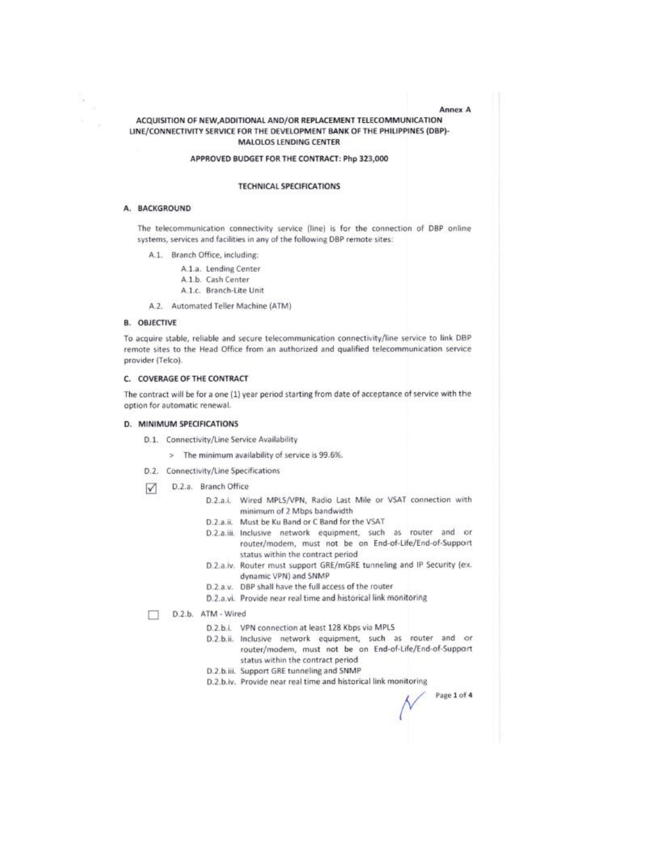## ACQUISITION OF NEW, ADDITIONAL AND/OR REPLACEMENT TELECOMMUNICATION LINE/CONNECTIVITY SERVICE FOR THE DEVELOPMENT BANK OF THE PHILIPPINES (DBP)-**MALOLOS LENDING CENTER**

#### APPROVED BUDGET FOR THE CONTRACT: Php 323,000

#### **TECHNICAL SPECIFICATIONS**

#### A. BACKGROUND

The telecommunication connectivity service (line) is for the connection of DBP online systems, services and facilities in any of the following DBP remote sites:

A.1. Branch Office, including:

A.1.a. Lending Center A.1.b. Cash Center A.1.c. Branch-Lite Unit

A.2. Automated Teller Machine (ATM)

#### **B. OBJECTIVE**

To acquire stable, reliable and secure telecommunication connectivity/line service to link DBP remote sites to the Head Office from an authorized and qualified telecommunication service provider (Telco).

#### C. COVERAGE OF THE CONTRACT

The contract will be for a one (1) year period starting from date of acceptance of service with the option for automatic renewal.

#### D. MINIMUM SPECIFICATIONS

D.1. Connectivity/Line Service Availability

- > The minimum availability of service is 99.6%.
- D.2. Connectivity/Line Specifications
- D.2.a. Branch Office  $\triangledown$ 
	- D.2.a.i. Wired MPLS/VPN, Radio Last Mile or VSAT connection with minimum of 2 Mbps bandwidth
	- D.2.a.ii. Must be Ku Band or C Band for the VSAT
	- D.2.a.iii. Inclusive network equipment, such as router and or router/modem, must not be on End-of-Life/End-of-Support status within the contract period
	- D.2.a.iv. Router must support GRE/mGRE tunneling and IP Security (ex. dynamic VPN) and SNMP
	- D.2.a.v. DBP shall have the full access of the router
	- D.2.a.vi. Provide near real time and historical link monitoring

D.2.b. ATM - Wired

- D.2.b.i. VPN connection at least 128 Kbps via MPLS
- D.2.b.ii. Inclusive network equipment, such as router and or router/modem, must not be on End-of-Life/End-of-Support status within the contract period
- D.2.b.iii. Support GRE tunneling and SNMP
- D.2.b.iv. Provide near real time and historical link monitoring

Page 1 of 4

**Annex A**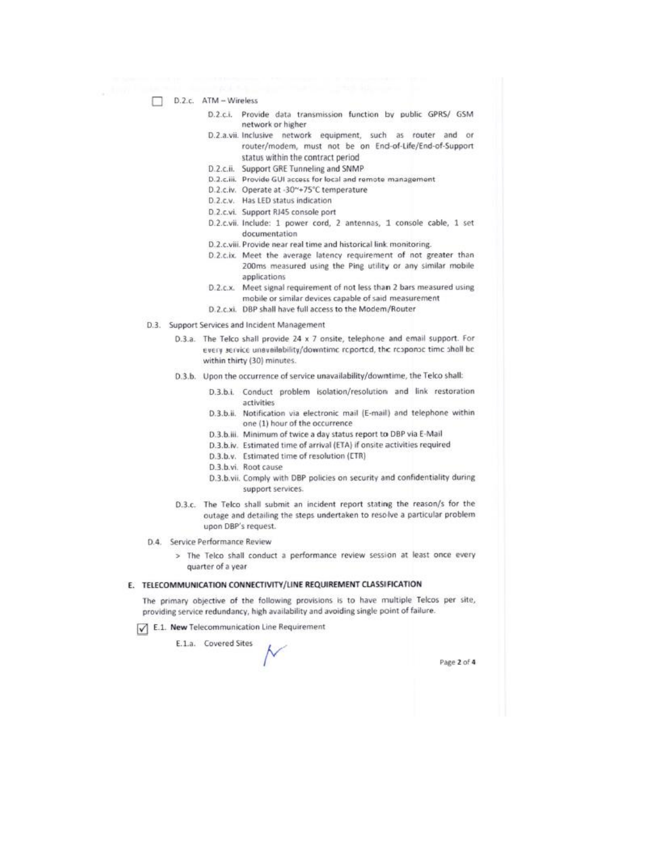- П. D.2.c. ATM - Wireless
	- Provide data transmission function by public GPRS/ GSM  $D.2.c.$ i. network or higher
	- D.2.a.vii. Inclusive network equipment, such as router and or router/modem, must not be on End-of-Life/End-of-Support status within the contract period
	- D.2.c.ii. Support GRE Tunneling and SNMP
	- D.2.c.iii. Provide GUI access for local and remote management
	- D.2.c.iv. Operate at -30~+75°C temperature
	- D.2.c.v. Has LED status indication
	- D.2.c.vi. Support RJ45 console port
	- D.2.c.vii. Include: 1 power cord, 2 antennas, 1 console cable, 1 set documentation
	- D.2.c.viii. Provide near real time and historical link monitoring.
	- D.2.c.ix. Meet the average latency requirement of not greater than 200ms measured using the Ping utility or any similar mobile applications
	- D.2.c.x. Meet signal requirement of not less than 2 bars measured using mobile or similar devices capable of said measurement
	- D.2.c.xi. DBP shall have full access to the Modem/Router
- D.3. Support Services and Incident Management
	- D.3.a. The Telco shall provide 24 x 7 onsite, telephone and email support. For every service unavailability/downtime reported, the response time shall be within thirty (30) minutes.
	- D.3.b. Upon the occurrence of service unavailability/downtime, the Telco shall:
		- D.3.b.i. Conduct problem isolation/resolution and link restoration activities
		- D.3.b.ii. Notification via electronic mail (E-mail) and telephone within one (1) hour of the occurrence
		- D.3.b.iii. Minimum of twice a day status report to DBP via E-Mail
		- D.3.b.iv. Estimated time of arrival (ETA) if onsite activities required
		- D.3.b.v. Estimated time of resolution (ETR)
		- D.3.b.vi. Root cause
		- D.3.b.vii. Comply with DBP policies on security and confidentiality during support services.
	- D.3.c. The Telco shall submit an incident report stating the reason/s for the outage and detailing the steps undertaken to resolve a particular problem upon DBP's request.
- D.4. Service Performance Review
	- > The Telco shall conduct a performance review session at least once every quarter of a year

#### E. TELECOMMUNICATION CONNECTIVITY/LINE REQUIREMENT CLASSIFICATION

The primary objective of the following provisions is to have multiple Telcos per site, providing service redundancy, high availability and avoiding single point of failure.

E.1. New Telecommunication Line Requirement

E.1.a. Covered Sites

Page 2 of 4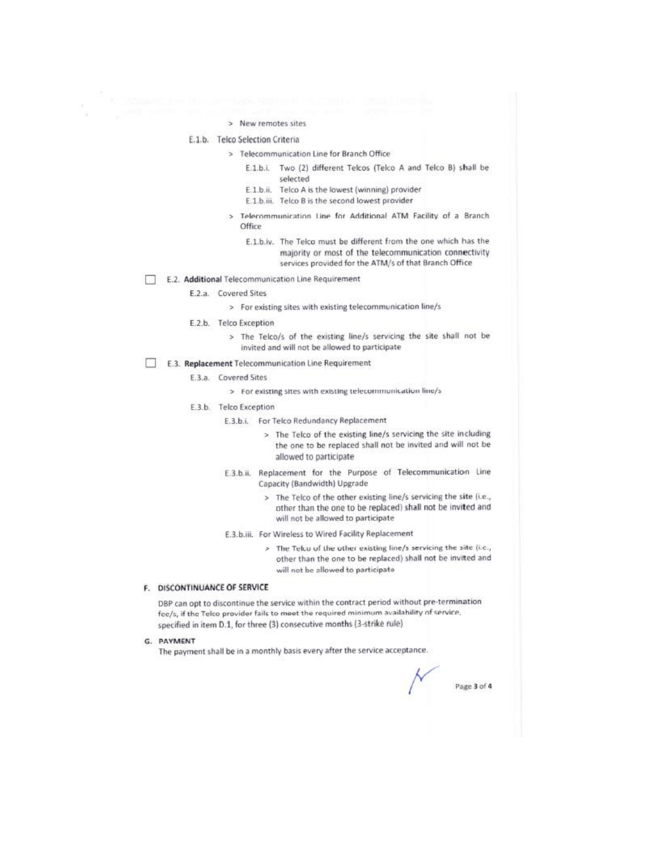#### > New remotes sites

### E.1.b. Telco Selection Criteria

- > Telecommunication Line for Branch Office
	- E.1.b.i. Two (2) different Telcos (Telco A and Telco B) shall be selected
	- E.1.b.ii. Telco A is the lowest (winning) provider
	- E.1.b.iii. Telco B is the second lowest provider
	- Telecommunication Line for Additional ATM Facility of a Branch  $\mathbf{r}$ Office
		- E.1.b.iv. The Telco must be different from the one which has the majority or most of the telecommunication connectivity services provided for the ATM/s of that Branch Office

#### E.2. Additional Telecommunication Line Requirement

- E.2.a. Covered Sites
	- > For existing sites with existing telecommunication line/s
- E.2.b. Telco Exception
	- > The Telco/s of the existing line/s servicing the site shall not be invited and will not be allowed to participate

#### E.3. Replacement Telecommunication Line Requirement

- E.3.a. Covered Sites
	- > For existing sites with existing telecommunication line/s
- E.3.b. Telco Exception
	- E.3.b.i. For Telco Redundancy Replacement
		- > The Telco of the existing line/s servicing the site including the one to be replaced shall not be invited and will not be allowed to participate
	- E.3.b.ii. Replacement for the Purpose of Telecommunication Line Capacity (Bandwidth) Upgrade
		- > The Telco of the other existing line/s servicing the site (i.e., other than the one to be replaced) shall not be invited and will not be allowed to participate
	- E.3.b.iii. For Wireless to Wired Facility Replacement
		- > The Telco of the other existing line/s servicing the site (i.e., other than the one to be replaced) shall not be invited and will not be allowed to participate

# F. DISCONTINUANCE OF SERVICE

DBP can opt to discontinue the service within the contract period without pre-termination fcc/s, if the Telco provider fails to meet the required minimum availability of service, specified in item D.1, for three (3) consecutive months (3-strike rule)

G. PAYMENT

The payment shall be in a monthly basis every after the service acceptance.